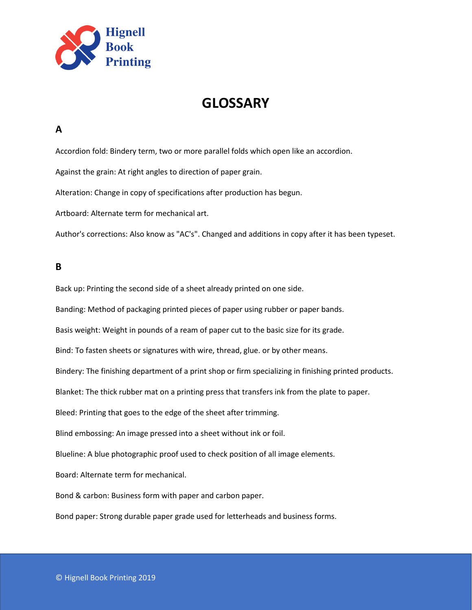

# **GLOSSARY**

#### **A**

Accordion fold: Bindery term, two or more parallel folds which open like an accordion.

Against the grain: At right angles to direction of paper grain.

Alteration: Change in copy of specifications after production has begun.

Artboard: Alternate term for mechanical art.

Author's corrections: Also know as "AC's". Changed and additions in copy after it has been typeset.

#### **B**

Back up: Printing the second side of a sheet already printed on one side.

Banding: Method of packaging printed pieces of paper using rubber or paper bands.

Basis weight: Weight in pounds of a ream of paper cut to the basic size for its grade.

Bind: To fasten sheets or signatures with wire, thread, glue. or by other means.

Bindery: The finishing department of a print shop or firm specializing in finishing printed products.

Blanket: The thick rubber mat on a printing press that transfers ink from the plate to paper.

Bleed: Printing that goes to the edge of the sheet after trimming.

Blind embossing: An image pressed into a sheet without ink or foil.

Blueline: A blue photographic proof used to check position of all image elements.

Board: Alternate term for mechanical.

Bond & carbon: Business form with paper and carbon paper.

Bond paper: Strong durable paper grade used for letterheads and business forms.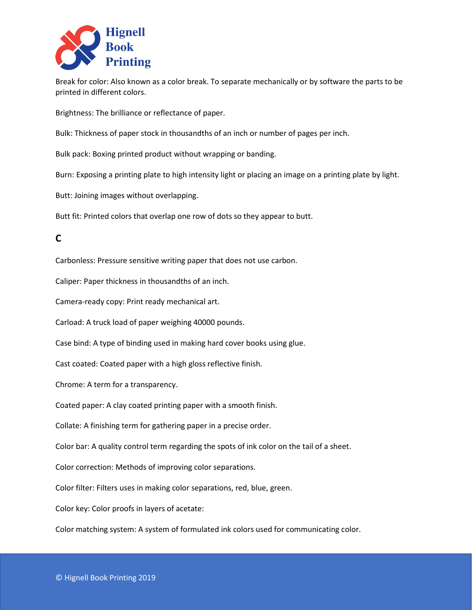

Break for color: Also known as a color break. To separate mechanically or by software the parts to be printed in different colors.

Brightness: The brilliance or reflectance of paper.

Bulk: Thickness of paper stock in thousandths of an inch or number of pages per inch.

Bulk pack: Boxing printed product without wrapping or banding.

Burn: Exposing a printing plate to high intensity light or placing an image on a printing plate by light.

Butt: Joining images without overlapping.

Butt fit: Printed colors that overlap one row of dots so they appear to butt.

# **C**

Carbonless: Pressure sensitive writing paper that does not use carbon.

Caliper: Paper thickness in thousandths of an inch.

Camera-ready copy: Print ready mechanical art.

Carload: A truck load of paper weighing 40000 pounds.

Case bind: A type of binding used in making hard cover books using glue.

Cast coated: Coated paper with a high gloss reflective finish.

Chrome: A term for a transparency.

Coated paper: A clay coated printing paper with a smooth finish.

Collate: A finishing term for gathering paper in a precise order.

Color bar: A quality control term regarding the spots of ink color on the tail of a sheet.

Color correction: Methods of improving color separations.

Color filter: Filters uses in making color separations, red, blue, green.

Color key: Color proofs in layers of acetate:

Color matching system: A system of formulated ink colors used for communicating color.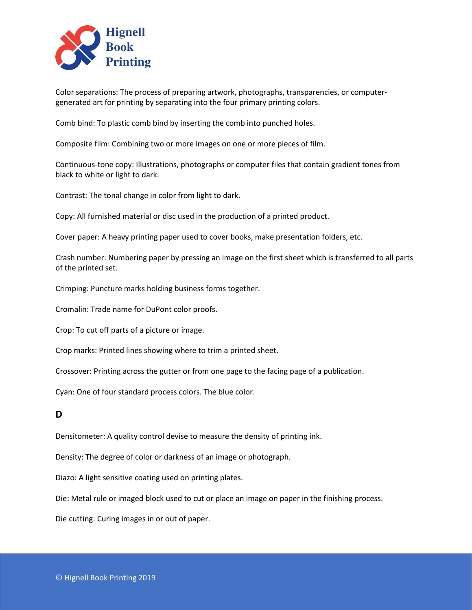

Color separations: The process of preparing artwork, photographs, transparencies, or computergenerated art for printing by separating into the four primary printing colors.

Comb bind: To plastic comb bind by inserting the comb into punched holes.

Composite film: Combining two or more images on one or more pieces of film.

Continuous-tone copy: Illustrations, photographs or computer files that contain gradient tones from black to white or light to dark.

Contrast: The tonal change in color from light to dark.

Copy: All furnished material or disc used in the production of a printed product.

Cover paper: A heavy printing paper used to cover books, make presentation folders, etc.

Crash number: Numbering paper by pressing an image on the first sheet which is transferred to all parts of the printed set.

Crimping: Puncture marks holding business forms together.

Cromalin: Trade name for DuPont color proofs.

Crop: To cut off parts of a picture or image.

Crop marks: Printed lines showing where to trim a printed sheet.

Crossover: Printing across the gutter or from one page to the facing page of a publication.

Cyan: One of four standard process colors. The blue color.

#### **D**

Densitometer: A quality control devise to measure the density of printing ink.

Density: The degree of color or darkness of an image or photograph.

Diazo: A light sensitive coating used on printing plates.

Die: Metal rule or imaged block used to cut or place an image on paper in the finishing process.

Die cutting: Curing images in or out of paper.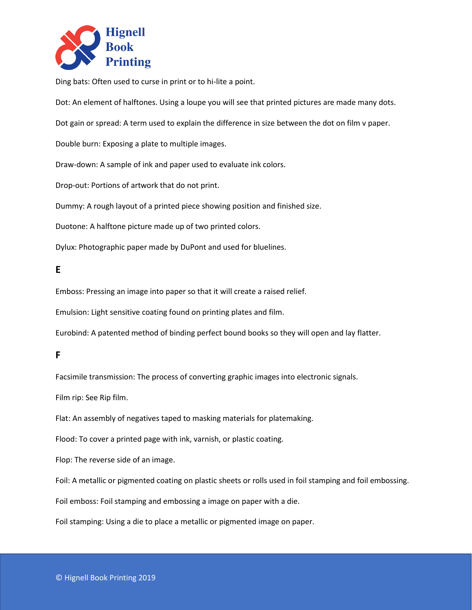

Ding bats: Often used to curse in print or to hi-lite a point.

Dot: An element of halftones. Using a loupe you will see that printed pictures are made many dots.

Dot gain or spread: A term used to explain the difference in size between the dot on film v paper.

Double burn: Exposing a plate to multiple images.

Draw-down: A sample of ink and paper used to evaluate ink colors.

Drop-out: Portions of artwork that do not print.

Dummy: A rough layout of a printed piece showing position and finished size.

Duotone: A halftone picture made up of two printed colors.

Dylux: Photographic paper made by DuPont and used for bluelines.

### **E**

Emboss: Pressing an image into paper so that it will create a raised relief.

Emulsion: Light sensitive coating found on printing plates and film.

Eurobind: A patented method of binding perfect bound books so they will open and lay flatter.

#### **F**

Facsimile transmission: The process of converting graphic images into electronic signals.

Film rip: See Rip film.

Flat: An assembly of negatives taped to masking materials for platemaking.

Flood: To cover a printed page with ink, varnish, or plastic coating.

Flop: The reverse side of an image.

Foil: A metallic or pigmented coating on plastic sheets or rolls used in foil stamping and foil embossing.

Foil emboss: Foil stamping and embossing a image on paper with a die.

Foil stamping: Using a die to place a metallic or pigmented image on paper.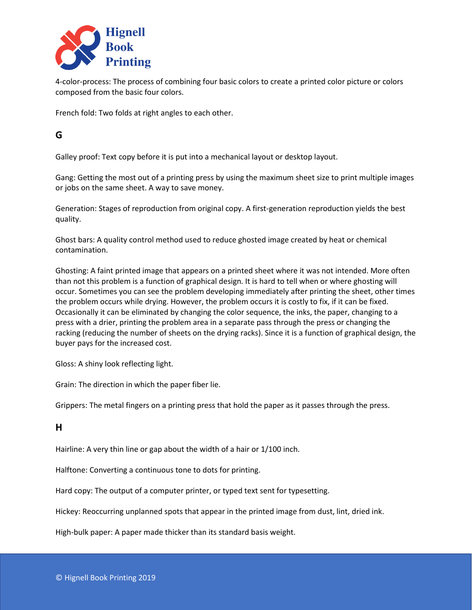

4-color-process: The process of combining four basic colors to create a printed color picture or colors composed from the basic four colors.

French fold: Two folds at right angles to each other.

## **G**

Galley proof: Text copy before it is put into a mechanical layout or desktop layout.

Gang: Getting the most out of a printing press by using the maximum sheet size to print multiple images or jobs on the same sheet. A way to save money.

Generation: Stages of reproduction from original copy. A first-generation reproduction yields the best quality.

Ghost bars: A quality control method used to reduce ghosted image created by heat or chemical contamination.

Ghosting: A faint printed image that appears on a printed sheet where it was not intended. More often than not this problem is a function of graphical design. It is hard to tell when or where ghosting will occur. Sometimes you can see the problem developing immediately after printing the sheet, other times the problem occurs while drying. However, the problem occurs it is costly to fix, if it can be fixed. Occasionally it can be eliminated by changing the color sequence, the inks, the paper, changing to a press with a drier, printing the problem area in a separate pass through the press or changing the racking (reducing the number of sheets on the drying racks). Since it is a function of graphical design, the buyer pays for the increased cost.

Gloss: A shiny look reflecting light.

Grain: The direction in which the paper fiber lie.

Grippers: The metal fingers on a printing press that hold the paper as it passes through the press.

#### **H**

Hairline: A very thin line or gap about the width of a hair or 1/100 inch.

Halftone: Converting a continuous tone to dots for printing.

Hard copy: The output of a computer printer, or typed text sent for typesetting.

Hickey: Reoccurring unplanned spots that appear in the printed image from dust, lint, dried ink.

High-bulk paper: A paper made thicker than its standard basis weight.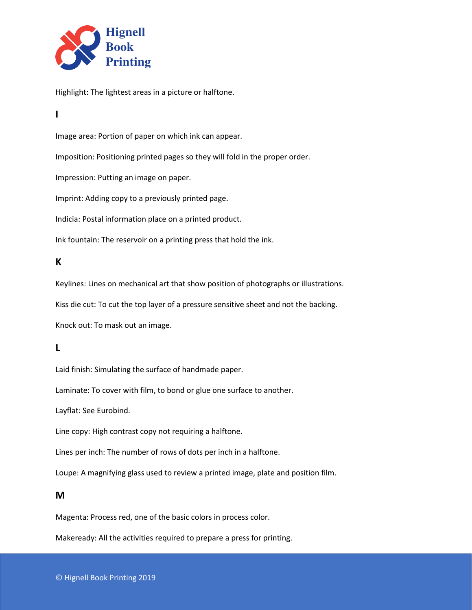

Highlight: The lightest areas in a picture or halftone.

## **I**

Image area: Portion of paper on which ink can appear.

Imposition: Positioning printed pages so they will fold in the proper order.

Impression: Putting an image on paper.

Imprint: Adding copy to a previously printed page.

Indicia: Postal information place on a printed product.

Ink fountain: The reservoir on a printing press that hold the ink.

#### **K**

Keylines: Lines on mechanical art that show position of photographs or illustrations.

Kiss die cut: To cut the top layer of a pressure sensitive sheet and not the backing.

Knock out: To mask out an image.

### **L**

Laid finish: Simulating the surface of handmade paper.

Laminate: To cover with film, to bond or glue one surface to another.

Layflat: See Eurobind.

Line copy: High contrast copy not requiring a halftone.

Lines per inch: The number of rows of dots per inch in a halftone.

Loupe: A magnifying glass used to review a printed image, plate and position film.

### **M**

Magenta: Process red, one of the basic colors in process color.

Makeready: All the activities required to prepare a press for printing.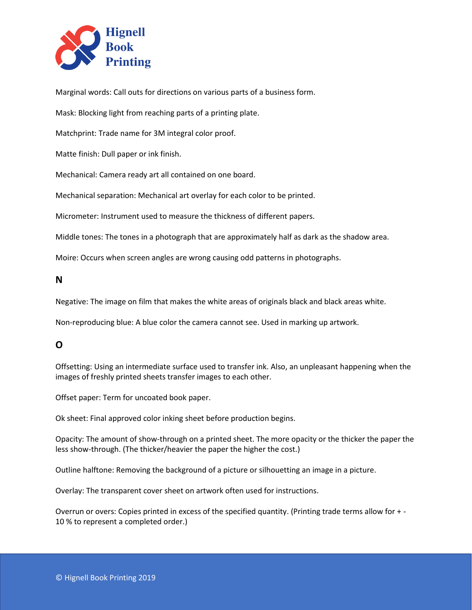

Marginal words: Call outs for directions on various parts of a business form.

Mask: Blocking light from reaching parts of a printing plate.

Matchprint: Trade name for 3M integral color proof.

Matte finish: Dull paper or ink finish.

Mechanical: Camera ready art all contained on one board.

Mechanical separation: Mechanical art overlay for each color to be printed.

Micrometer: Instrument used to measure the thickness of different papers.

Middle tones: The tones in a photograph that are approximately half as dark as the shadow area.

Moire: Occurs when screen angles are wrong causing odd patterns in photographs.

**N**

Negative: The image on film that makes the white areas of originals black and black areas white.

Non-reproducing blue: A blue color the camera cannot see. Used in marking up artwork.

### **O**

Offsetting: Using an intermediate surface used to transfer ink. Also, an unpleasant happening when the images of freshly printed sheets transfer images to each other.

Offset paper: Term for uncoated book paper.

Ok sheet: Final approved color inking sheet before production begins.

Opacity: The amount of show-through on a printed sheet. The more opacity or the thicker the paper the less show-through. (The thicker/heavier the paper the higher the cost.)

Outline halftone: Removing the background of a picture or silhouetting an image in a picture.

Overlay: The transparent cover sheet on artwork often used for instructions.

Overrun or overs: Copies printed in excess of the specified quantity. (Printing trade terms allow for + - 10 % to represent a completed order.)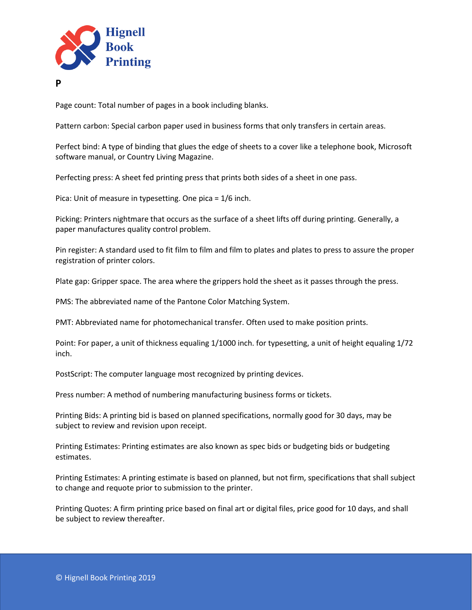

**P**

Page count: Total number of pages in a book including blanks.

Pattern carbon: Special carbon paper used in business forms that only transfers in certain areas.

Perfect bind: A type of binding that glues the edge of sheets to a cover like a telephone book, Microsoft software manual, or Country Living Magazine.

Perfecting press: A sheet fed printing press that prints both sides of a sheet in one pass.

Pica: Unit of measure in typesetting. One pica = 1/6 inch.

Picking: Printers nightmare that occurs as the surface of a sheet lifts off during printing. Generally, a paper manufactures quality control problem.

Pin register: A standard used to fit film to film and film to plates and plates to press to assure the proper registration of printer colors.

Plate gap: Gripper space. The area where the grippers hold the sheet as it passes through the press.

PMS: The abbreviated name of the Pantone Color Matching System.

PMT: Abbreviated name for photomechanical transfer. Often used to make position prints.

Point: For paper, a unit of thickness equaling 1/1000 inch. for typesetting, a unit of height equaling 1/72 inch.

PostScript: The computer language most recognized by printing devices.

Press number: A method of numbering manufacturing business forms or tickets.

Printing Bids: A printing bid is based on planned specifications, normally good for 30 days, may be subject to review and revision upon receipt.

Printing Estimates: Printing estimates are also known as spec bids or budgeting bids or budgeting estimates.

Printing Estimates: A printing estimate is based on planned, but not firm, specifications that shall subject to change and requote prior to submission to the printer.

Printing Quotes: A firm printing price based on final art or digital files, price good for 10 days, and shall be subject to review thereafter.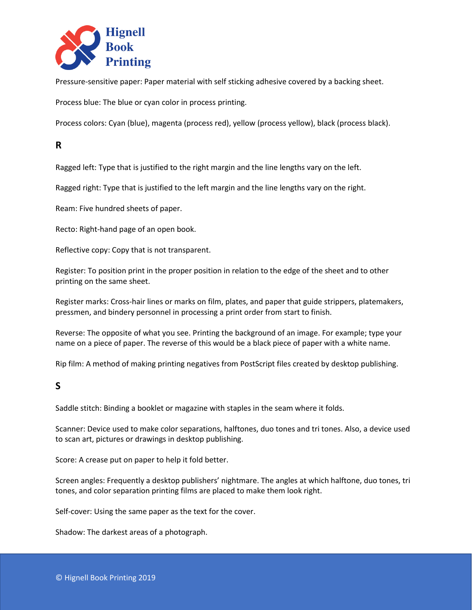

Pressure-sensitive paper: Paper material with self sticking adhesive covered by a backing sheet.

Process blue: The blue or cyan color in process printing.

Process colors: Cyan (blue), magenta (process red), yellow (process yellow), black (process black).

## **R**

Ragged left: Type that is justified to the right margin and the line lengths vary on the left.

Ragged right: Type that is justified to the left margin and the line lengths vary on the right.

Ream: Five hundred sheets of paper.

Recto: Right-hand page of an open book.

Reflective copy: Copy that is not transparent.

Register: To position print in the proper position in relation to the edge of the sheet and to other printing on the same sheet.

Register marks: Cross-hair lines or marks on film, plates, and paper that guide strippers, platemakers, pressmen, and bindery personnel in processing a print order from start to finish.

Reverse: The opposite of what you see. Printing the background of an image. For example; type your name on a piece of paper. The reverse of this would be a black piece of paper with a white name.

Rip film: A method of making printing negatives from PostScript files created by desktop publishing.

### **S**

Saddle stitch: Binding a booklet or magazine with staples in the seam where it folds.

Scanner: Device used to make color separations, halftones, duo tones and tri tones. Also, a device used to scan art, pictures or drawings in desktop publishing.

Score: A crease put on paper to help it fold better.

Screen angles: Frequently a desktop publishers' nightmare. The angles at which halftone, duo tones, tri tones, and color separation printing films are placed to make them look right.

Self-cover: Using the same paper as the text for the cover.

Shadow: The darkest areas of a photograph.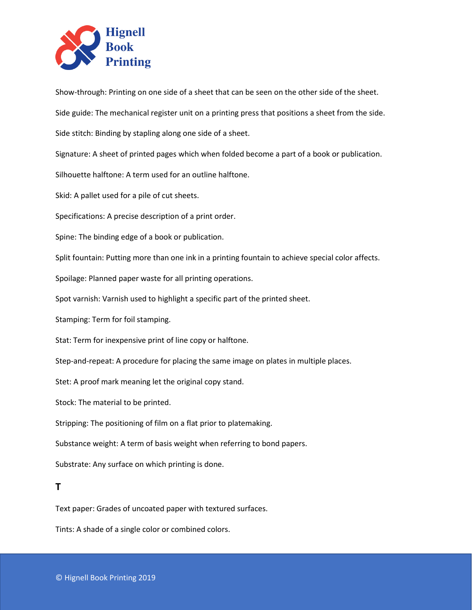

Show-through: Printing on one side of a sheet that can be seen on the other side of the sheet.

Side guide: The mechanical register unit on a printing press that positions a sheet from the side.

Side stitch: Binding by stapling along one side of a sheet.

Signature: A sheet of printed pages which when folded become a part of a book or publication.

Silhouette halftone: A term used for an outline halftone.

Skid: A pallet used for a pile of cut sheets.

Specifications: A precise description of a print order.

Spine: The binding edge of a book or publication.

Split fountain: Putting more than one ink in a printing fountain to achieve special color affects.

Spoilage: Planned paper waste for all printing operations.

Spot varnish: Varnish used to highlight a specific part of the printed sheet.

Stamping: Term for foil stamping.

Stat: Term for inexpensive print of line copy or halftone.

Step-and-repeat: A procedure for placing the same image on plates in multiple places.

Stet: A proof mark meaning let the original copy stand.

Stock: The material to be printed.

Stripping: The positioning of film on a flat prior to platemaking.

Substance weight: A term of basis weight when referring to bond papers.

Substrate: Any surface on which printing is done.

#### **T**

Text paper: Grades of uncoated paper with textured surfaces.

Tints: A shade of a single color or combined colors.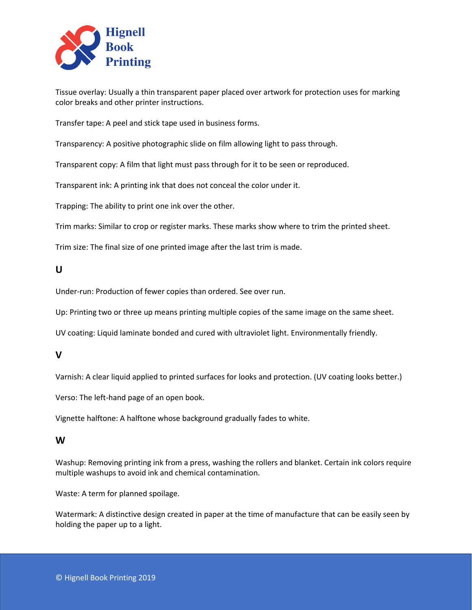

Tissue overlay: Usually a thin transparent paper placed over artwork for protection uses for marking color breaks and other printer instructions.

Transfer tape: A peel and stick tape used in business forms.

Transparency: A positive photographic slide on film allowing light to pass through.

Transparent copy: A film that light must pass through for it to be seen or reproduced.

Transparent ink: A printing ink that does not conceal the color under it.

Trapping: The ability to print one ink over the other.

Trim marks: Similar to crop or register marks. These marks show where to trim the printed sheet.

Trim size: The final size of one printed image after the last trim is made.

### **U**

Under-run: Production of fewer copies than ordered. See over run.

Up: Printing two or three up means printing multiple copies of the same image on the same sheet.

UV coating: Liquid laminate bonded and cured with ultraviolet light. Environmentally friendly.

### **V**

Varnish: A clear liquid applied to printed surfaces for looks and protection. (UV coating looks better.)

Verso: The left-hand page of an open book.

Vignette halftone: A halftone whose background gradually fades to white.

#### **W**

Washup: Removing printing ink from a press, washing the rollers and blanket. Certain ink colors require multiple washups to avoid ink and chemical contamination.

Waste: A term for planned spoilage.

Watermark: A distinctive design created in paper at the time of manufacture that can be easily seen by holding the paper up to a light.